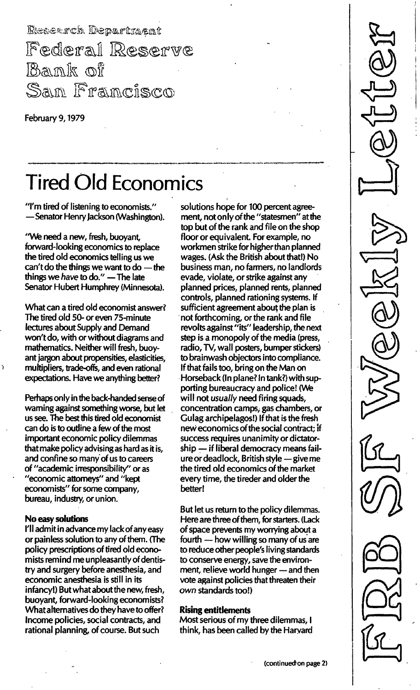Research Department Federal Reserve Bank of Sam Francisco

February 9, 1979

# **Tired Old Economics**

"I'm tired of listening to economists." - Senator Henry Jackson (Washington).

"We need a new, fresh, buoyant forward-looking economics to replace the tired old economics telling us we can't do the things we want to do  $-$  the things we have to do."  $-$  The late Senator Hubert Humphrey (Minnesota).

What can a tired old economist answer? The tired old 50- or even 75-minute lectures about Supply and Demand won't do, with or without diagrams and mathematics. Neither will fresh, buoyant jargon about propensities, elasticities, multipliers, trade-offs, and even rational expectations. Have we anything better?

Perhaps only in the back-handed sense of warning against something worse, but let us see. The best this tired old economist can do is to outline a few of the most important economic policy dilemmas that make policy advising as hard as it is, and confine so many' of us to careers of "academic irresponsibility" or as "economic attorneys" and "kept economists" for some company, bureau, industry, or union.

#### No easy solutions

 $\overline{ }$ 

I'll admit in advance my lack of any easy or painless solution to any of them. (The policy prescriptions of tired old economists remind me unpleasantly of dentistry and surgery before anesthesia, and economic anesthesia is still in its infancy!) But what about the new, fresh, buoyant, forward-looking economists? What alternatives do they have to offer? Income policies, social contracts, and rational planning, of course. But such

solutions hope for 100 percent agreement, not only of the "statesmen" at the top but of the rank and file on the shop floor or equivalent. For example, no workmen strike for higher than planned wages. (Ask the British about that!) No business man, no farmers, no landlords evade, violate, or strike against any planned prices, planned rents, planned controls, planned rationing systems. If sufficient agreement about the plan is not forthcoming, or the rank and file revolts against "its" leadership, the next step is a monopoly of the media (press, radio, TV, wall posters, bumper stickers) to brainwash objectors into compliance. If that fails too, bring on the Man on Horseback (In plane? In tank?) with supporting bureaucracy and police! (We will not usually need firing squads, concentration camps, gas chambers, or Gulag archipelagos!) If that is the fresh new economics of the social contract; if success requires unanimity or dictatorship - if liberal democracy means failure or deadlock, British style - give me the tired old economics of the market every time, the tireder and older the better!

But let us return to the policy dilemmas. Here are three of them, for starters. (Lack of space prevents my worrying about a fourth  $-$  how willing so many of us are to reduce other people's living standards to conserve energy, save the environment, relieve world hunger - and then vote against policies that threaten their own standards too!)

#### Rising entitlements

Most serious of my three dilemmas, I think, has been called by the Harvard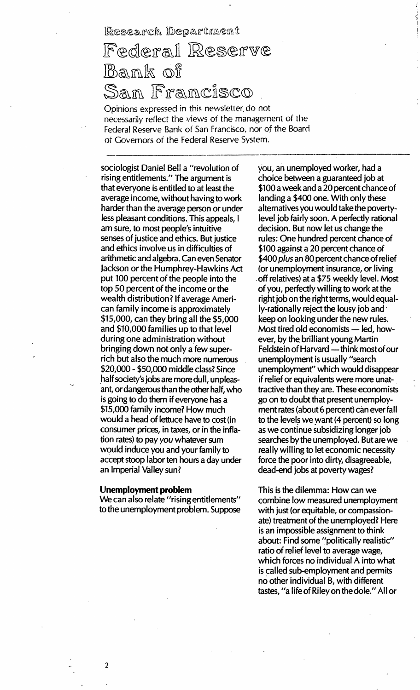## Federal Reserve  $\mathbb{R}$ an $\mathbb{R}$  of Sam Francisco

Opinions expressed in this newsletter do not necessarily reflect the views of the management of the Federal Reserve Bank of San Francisco, nor of the Board oi Governors of the Federal Reserve System.

sociologist Daniel Bell a "revolution of rising entitlements." The argument is that everyone is entitled to at least the average income, without having to work harder than the average person or under less pleasant conditions. This appeals, I am sure, to most people's intuitive senses of justice and ethics. But justice and ethics involve us in difficulties of arithmetic and algebra. Can even Senator Jackson or the Humphrey-Hawkins Act put 100 percent of the people into the top 50 percent of the income or the wealth distribution? If average American family income is approximately \$15,000, can they bring all the \$5,000 and \$10,000 families up to that level during one administration without bringing down not only a few superrich but also the much more numerous \$20,000 - \$50,000 middle class? Since half society's jobs are more dull, unpleasant, or dangerous than the other half, who is going to do them if everyone has a \$15,000 family income? How much would a head of lettuce have to cost (in consumer prices, in taxes, or in the inflation rates) to pay you whatever sum would induce you and your family to accept stoop labor ten hours a day under an Imperial Valley sun?

#### Unemployment problem

We can also relate "rising entitlements" to the unemployment problem. Suppose

you, an unemployed worker, had a choice between a guaranteed job at \$100 a week and a 20 percent chance of landing a \$400 one. With only these alternatives you would take the povertylevel job fairly soon. A perfectly rational decision. But now let us change the rules: One hundred percent chance of \$100 against a 20 percent chance of \$400 plus an 80 percent chance of relief (or unemployment insurance, or living off relatives) at a \$75 weekly level. Most of you, perfectly willing to work at the right job on the right terms, would equally-rationally reject the lousy job and keep on looking under the new rules. Most tired old economists  $-$  led, however, by the brilliant young Martin Feldstein of Harvard - think most of our unemployment is usually "search unemployment" which would disappear if relief or equivalents were more unattractive than they are. These economists go on to doubt that present unemployment rates (about 6 percent) can ever fall to the levels we want (4 percent) so long as we continue subsidizing longer job searches by the unemployed. But are we really willing to let economic necessity force the poor into dirty, disagreeable, dead-end jobs at poverty wages?

This is the dilemma: How can we combine low measured unemployment with just (or equitable, or compassionate) treatment of the unemployed? Here is an impossible assignment to think about: Find some "politically realistic" ratio of relief level to average wage, which forces no individual A into what is called sub-employment and permits no other individual B, with different tastes, "a life of Riley on the dole." All or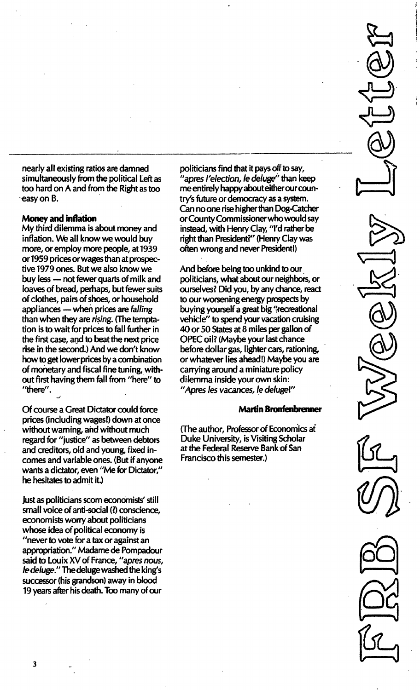nearly all existing ratios are damned simultaneously from the political Left as too hard on A and from the Right as too -easy on B.

#### Money and inflation

My third dilemma is about money and inflation. We all know we would buy more, or employ more people, at 1939 or 1959 prices or wages than at prospective 1979 ones. But we also know we buy less - not fewer quarts of milk and loaves of bread, perhaps, but fewer suits of clothes, pairs of shoes, or household appliances - when prices are falling than when they are rising. (The temptation is to wait for prices to fall further in the first case, and to beat the next price rise in the second.) And we don't know how to get lower prices by a combination of monetary and fiscal fine tuning, without first having them fall from "here" to "there".

Of course a Great Dictator could force prices (including wages!) down at once without warning, and without much regard for "justice" as between debtors and creditors, old and young, fixed incomes and variable ones. (But if anyone wants a dictator, even "Me for Dictator," he hesitates to admit it.)

Just as politicians scorn economists' still small voice of anti-social (?) conscience, economists worry about politicians whose idea of political economy is "never to vote for a tax or against an appropriation." Madame de Pompadour said to Louix XV of France, "apres nous, Ie deluge." The deluge washed the king's successor (his grandson) away in blood 19 years after his death. Too many of our

politicians find that it pays off to say, "apres I'election, le deluge" than keep me entirely happy about either our country's future or democracy as a system. Can no one rise higher than Dog-Catcher or County Commissioner who would say instead, with Henry Clay, "I'd rather be right than President?" (Henry Clay was often wrong and never President!)

And before being too unkind to our politicians, what about our neighbors, or ourselves? Did you, by any chance, react to our worsening energy prospects by buying yourself a great big "recreational vehicle" to spend your vacation cruising 40 or 50 States at 8 miles per gallon of OPEC oil? (Maybe your last chance before dollar gas, lighter cars, rationing, or whatever lies ahead!) Maybe you are carrying around a miniature policy dilemma inside your own skin: "Apres les vacances, Ie deluge!"

#### Martin Bronfenbrenner

(The author, Professor of Economics at Duke University, is Visiting Scholar at the Federal Reserve Bank of San Francisco this semester.)